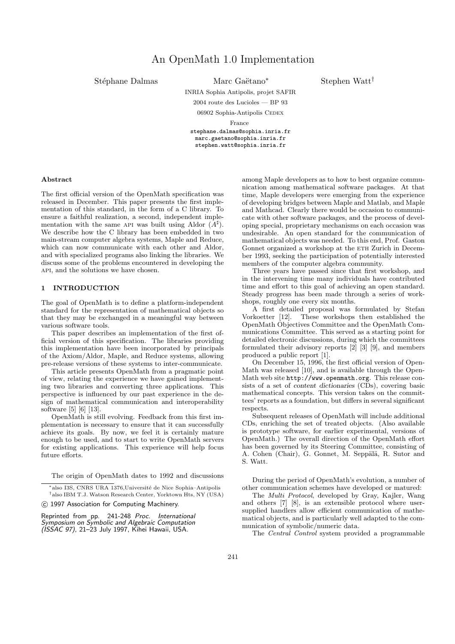Stéphane Dalmas Marc Gaëtano<sup>∗</sup>

Stephen Watt†

INRIA Sophia Antipolis, projet SAFIR

2004 route des Lucioles — BP 93 06902 Sophia-Antipolis CEDEX

France stephane.dalmas@sophia.inria.fr marc.gaetano@sophia.inria.fr stephen.watt@sophia.inria.fr

#### Abstract

The first official version of the OpenMath specification was released in December. This paper presents the first implementation of this standard, in the form of a C library. To ensure a faithful realization, a second, independent implementation with the same API was built using Aldor  $(A^{\sharp})$ . We describe how the C library has been embedded in two main-stream computer algebra systems, Maple and Reduce, which can now communicate with each other and Aldor, and with specialized programs also linking the libraries. We discuss some of the problems encountered in developing the api, and the solutions we have chosen.

# 1 INTRODUCTION

The goal of OpenMath is to define a platform-independent standard for the representation of mathematical objects so that they may be exchanged in a meaningful way between various software tools.

This paper describes an implementation of the first official version of this specification. The libraries providing this implementation have been incorporated by principals of the Axiom/Aldor, Maple, and Reduce systems, allowing pre-release versions of these systems to inter-communicate.

This article presents OpenMath from a pragmatic point of view, relating the experience we have gained implementing two libraries and converting three applications. This perspective is influenced by our past experience in the design of mathematical communication and interoperability software [5] [6] [13].

OpenMath is still evolving. Feedback from this first implementation is necessary to ensure that it can successfully achieve its goals. By now, we feel it is certainly mature enough to be used, and to start to write OpenMath servers for existing applications. This experience will help focus future efforts.

The origin of OpenMath dates to 1992 and discussions

(C) 1997 Association for Computing Machinery.

Reprinted from pp. 241-248 Proc. International Symposium on Symbolic and Algebraic Computation (ISSAC 97), 21–23 July 1997, Kihei Hawaii, USA.

among Maple developers as to how to best organize communication among mathematical software packages. At that time, Maple developers were emerging from the experience of developing bridges between Maple and Matlab, and Maple and Mathcad. Clearly there would be occasion to communicate with other software packages, and the process of developing special, proprietary mechanisms on each occasion was undesirable. An open standard for the communication of mathematical objects was needed. To this end, Prof. Gaston Gonnet organized a workshop at the ETH Zurich in December 1993, seeking the participation of potentially interested members of the computer algebra community.

Three years have passed since that first workshop, and in the intervening time many individuals have contributed time and effort to this goal of achieving an open standard. Steady progress has been made through a series of workshops, roughly one every six months.

A first detailed proposal was formulated by Stefan Vorkoetter [12]. These workshops then established the OpenMath Objectives Committee and the OpenMath Communications Committee. This served as a starting point for detailed electronic discussions, during which the committees formulated their advisory reports [2] [3] [9], and members produced a public report [1].

On December 15, 1996, the first official version of Open-Math was released [10], and is available through the Open-Math web site http://www.openmath.org. This release consists of a set of content dictionaries (CDs), covering basic mathematical concepts. This version takes on the committees' reports as a foundation, but differs in several significant respects.

Subsequent releases of OpenMath will include additional CDs, enriching the set of treated objects. (Also available is prototype software, for earlier experimental, versions of OpenMath.) The overall direction of the OpenMath effort has been governed by its Steering Committee, consisting of A. Cohen (Chair), G. Gonnet, M. Seppälä, R. Sutor and S. Watt.

During the period of OpenMath's evolution, a number of other communication schemes have developed or matured:

The Multi Protocol, developed by Gray, Kajler, Wang and others [7] [8], is an extensible protocol where usersupplied handlers allow efficient communication of mathematical objects, and is particularly well adapted to the communication of symbolic/numeric data.

The Central Control system provided a programmable

<sup>\*</sup>also I3S, CNRS URA 1376, Université de Nice Sophia–Antipolis † also IBM T.J. Watson Research Center, Yorktown Hts, NY (USA)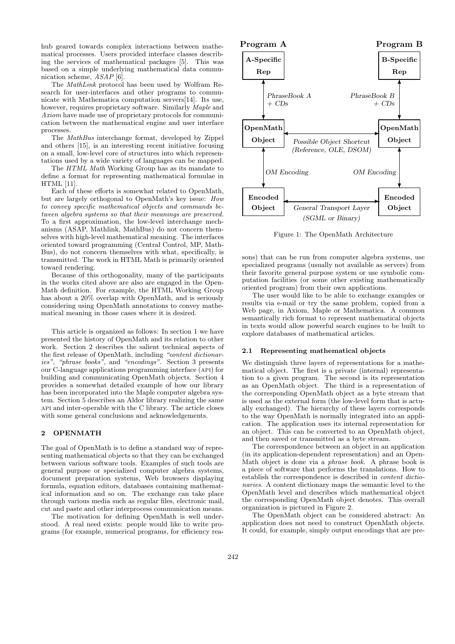hub geared towards complex interactions between mathematical processes. Users provided interface classes describing the services of mathematical packages [5]. This was based on a simple underlying mathematical data communication scheme, ASAP [6].

The MathLink protocol has been used by Wolfram Research for user-interfaces and other programs to communicate with Mathematica computation servers[14]. Its use, however, requires proprietary software. Similarly *Maple* and Axiom have made use of proprietary protocols for communication between the mathematical engine and user interface processes.

The MathBus interchange format, developed by Zippel and others [15], is an interesting recent initiative focusing on a small, low-level core of structures into which representations used by a wide variety of languages can be mapped.

The HTML Math Working Group has as its mandate to define a format for representing mathematical formulae in HTML [11].

Each of these efforts is somewhat related to OpenMath, but are largely orthogonal to OpenMath's key issue: How to convey specific mathematical objects and commands between algebra systems so that their meanings are preserved. To a first approximation, the low-level interchange mechanisms (ASAP, Mathlink, MathBus) do not concern themselves with high-level mathematical meaning. The interfaces oriented toward programming (Central Control, MP, Math-Bus), do not concern themselves with what, specifically, is transmitted. The work in HTML Math is primarily oriented toward rendering.

Because of this orthogonality, many of the participants in the works cited above are also are engaged in the Open-Math definition. For example, the HTML Working Group has about a 20% overlap with OpenMath, and is seriously considering using OpenMath annotations to convey mathematical meaning in those cases where it is desired.

This article is organized as follows: In section 1 we have presented the history of OpenMath and its relation to other work. Section 2 describes the salient technical aspects of the first release of OpenMath, including "content dictionaries", "phrase books", and "encodings". Section 3 presents our C-language applications programming interface (api) for building and communicating OpenMath objects. Section 4 provides a somewhat detailed example of how our library has been incorporated into the Maple computer algebra system. Section 5 describes an Aldor library realizing the same api and inter-operable with the C library. The article closes with some general conclusions and acknowledgements.

# 2 OPENMATH

The goal of OpenMath is to define a standard way of representing mathematical objects so that they can be exchanged between various software tools. Examples of such tools are general purpose or specialized computer algebra systems, document preparation systems, Web browsers displaying formula, equation editors, databases containing mathematical information and so on. The exchange can take place through various media such as regular files, electronic mail, cut and paste and other interprocess communication means.

The motivation for defining OpenMath is well understood. A real need exists: people would like to write programs (for example, numerical programs, for efficiency rea-



Figure 1: The OpenMath Architecture

sons) that can be run from computer algebra systems, use specialized programs (usually not available as servers) from their favorite general purpose system or use symbolic computation facilities (or some other existing mathematically oriented program) from their own applications.

The user would like to be able to exchange examples or results via e-mail or try the same problem, copied from a Web page, in Axiom, Maple or Mathematica. A common semantically rich format to represent mathematical objects in texts would allow powerful search engines to be built to explore databases of mathematical articles.

#### 2.1 Representing mathematical objects

We distinguish three layers of representations for a mathematical object. The first is a private (internal) representation to a given program. The second is its representation as an OpenMath object. The third is a representation of the corresponding OpenMath object as a byte stream that is used as the external form (the low-level form that is actually exchanged). The hierarchy of these layers corresponds to the way OpenMath is normally integrated into an application. The application uses its internal representation for an object. This can be converted to an OpenMath object, and then saved or transmitted as a byte stream.

The correspondence between an object in an application (in its application-dependent representation) and an Open-Math object is done via a phrase book. A phrase book is a piece of software that performs the translations. How to establish the correspondence is described in content dictionaries. A content dictionary maps the semantic level to the OpenMath level and describes which mathematical object the corresponding OpenMath object denotes. This overall organization is pictured in Figure 2.

The OpenMath object can be considered abstract: An application does not need to construct OpenMath objects. It could, for example, simply output encodings that are pre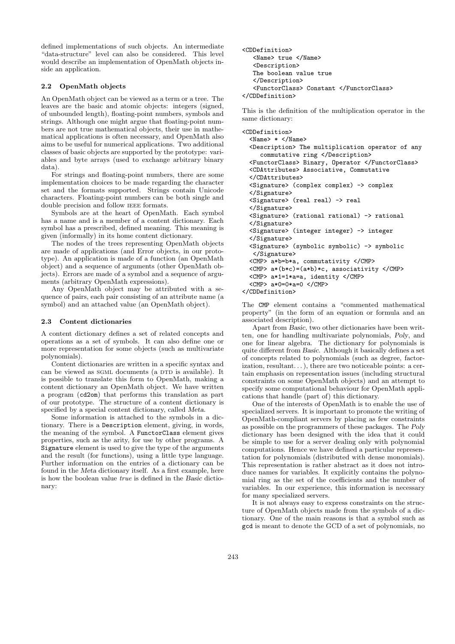defined implementations of such objects. An intermediate "data-structure" level can also be considered. This level would describe an implementation of OpenMath objects inside an application.

## 2.2 OpenMath objects

An OpenMath object can be viewed as a term or a tree. The leaves are the basic and atomic objects: integers (signed, of unbounded length), floating-point numbers, symbols and strings. Although one might argue that floating-point numbers are not true mathematical objects, their use in mathematical applications is often necessary, and OpenMath also aims to be useful for numerical applications. Two additional classes of basic objects are supported by the prototype: variables and byte arrays (used to exchange arbitrary binary data).

For strings and floating-point numbers, there are some implementation choices to be made regarding the character set and the formats supported. Strings contain Unicode characters. Floating-point numbers can be both single and double precision and follow IEEE formats.

Symbols are at the heart of OpenMath. Each symbol has a name and is a member of a content dictionary. Each symbol has a prescribed, defined meaning. This meaning is given (informally) in its home content dictionary.

The nodes of the trees representing OpenMath objects are made of applications (and Error objects, in our prototype). An application is made of a function (an OpenMath object) and a sequence of arguments (other OpenMath objects). Errors are made of a symbol and a sequence of arguments (arbitrary OpenMath expressions).

Any OpenMath object may be attributed with a sequence of pairs, each pair consisting of an attribute name (a symbol) and an attached value (an OpenMath object).

### 2.3 Content dictionaries

A content dictionary defines a set of related concepts and operations as a set of symbols. It can also define one or more representation for some objects (such as multivariate polynomials).

Content dictionaries are written in a specific syntax and can be viewed as  $SGML$  documents (a  $DTD$  is available). It is possible to translate this form to OpenMath, making a content dictionary an OpenMath object. We have written a program (cd2om) that performs this translation as part of our prototype. The structure of a content dictionary is specified by a special content dictionary, called Meta.

Some information is attached to the symbols in a dictionary. There is a Description element, giving, in words, the meaning of the symbol. A FunctorClass element gives properties, such as the arity, for use by other programs. A Signature element is used to give the type of the arguments and the result (for functions), using a little type language. Further information on the entries of a dictionary can be found in the Meta dictionary itself. As a first example, here is how the boolean value true is defined in the Basic dictionary:

```
<CDDefinition>
  <Name> true </Name>
   <Description>
  The boolean value true
  </Description>
   <FunctorClass> Constant </FunctorClass>
</CDDefinition>
```
This is the definition of the multiplication operator in the same dictionary:

```
<CDDefinition>
```

```
<Name> * </Name>
 <Description> The multiplication operator of any
    commutative ring </Description>
 <FunctorClass> Binary, Operator </FunctorClass>
 <CDAttributes> Associative, Commutative
 </CDAttributes>
 <Signature> (complex complex) -> complex
 </Signature>
 <Signature> (real real) -> real
 </Signature>
 <Signature> (rational rational) -> rational
 </Signature>
 <Signature> (integer integer) -> integer
 </Signature>
 <Signature> (symbolic symbolic) -> symbolic
  </Signature>
 <CMP> a*b=b*a, commutativity </CMP>
 <CMP> a*(b*c)=(a*b)*c, associativity </CMP>
 <CMP> a*1=1*a=a, identity </CMP>
 <CMP> a*0=0*a=0 </CMP>
</CDDefinition>
```
The CMP element contains a "commented mathematical property" (in the form of an equation or formula and an associated description).

Apart from Basic, two other dictionaries have been written, one for handling multivariate polynomials, Poly, and one for linear algebra. The dictionary for polynomials is quite different from Basic. Although it basically defines a set of concepts related to polynomials (such as degree, factorization, resultant. . . ), there are two noticeable points: a certain emphasis on representation issues (including structural constraints on some OpenMath objects) and an attempt to specify some computational behaviour for OpenMath applications that handle (part of) this dictionary.

One of the interests of OpenMath is to enable the use of specialized servers. It is important to promote the writing of OpenMath-compliant servers by placing as few constraints as possible on the programmers of these packages. The Poly dictionary has been designed with the idea that it could be simple to use for a server dealing only with polynomial computations. Hence we have defined a particular representation for polynomials (distributed with dense monomials). This representation is rather abstract as it does not introduce names for variables. It explicitly contains the polynomial ring as the set of the coefficients and the number of variables. In our experience, this information is necessary for many specialized servers.

It is not always easy to express constraints on the structure of OpenMath objects made from the symbols of a dictionary. One of the main reasons is that a symbol such as gcd is meant to denote the GCD of a set of polynomials, no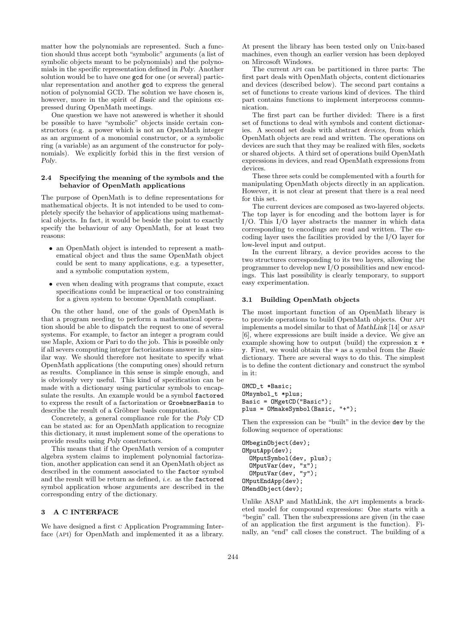matter how the polynomials are represented. Such a function should thus accept both "symbolic" arguments (a list of symbolic objects meant to be polynomials) and the polynomials in the specific representation defined in Poly. Another solution would be to have one gcd for one (or several) particular representation and another gcd to express the general notion of polynomial GCD. The solution we have chosen is, however, more in the spirit of Basic and the opinions expressed during OpenMath meetings.

One question we have not answered is whether it should be possible to have "symbolic" objects inside certain constructors (e.g. a power which is not an OpenMath integer as an argument of a monomial constructor, or a symbolic ring (a variable) as an argument of the constructor for polynomials). We explicitly forbid this in the first version of Poly.

### 2.4 Specifying the meaning of the symbols and the behavior of OpenMath applications

The purpose of OpenMath is to define representations for mathematical objects. It is not intended to be used to completely specify the behavior of applications using mathematical objects. In fact, it would be beside the point to exactly specify the behaviour of any OpenMath, for at least two reasons:

- an OpenMath object is intended to represent a mathematical object and thus the same OpenMath object could be sent to many applications, e.g. a typesetter, and a symbolic computation system,
- even when dealing with programs that compute, exact specifications could be impractical or too constraining for a given system to become OpenMath compliant.

On the other hand, one of the goals of OpenMath is that a program needing to perform a mathematical operation should be able to dispatch the request to one of several systems. For example, to factor an integer a program could use Maple, Axiom or Pari to do the job. This is possible only if all severs computing integer factorizations answer in a similar way. We should therefore not hesitate to specify what OpenMath applications (the computing ones) should return as results. Compliance in this sense is simple enough, and is obviously very useful. This kind of specification can be made with a dictionary using particular symbols to encapsulate the results. An example would be a symbol factored to express the result of a factorization or GroebnerBasis to describe the result of a Gröbner basis computation.

Concretely, a general compliance rule for the Poly CD can be stated as: for an OpenMath application to recognize this dictionary, it must implement some of the operations to provide results using Poly constructors.

This means that if the OpenMath version of a computer algebra system claims to implement polynomial factorization, another application can send it an OpenMath object as described in the comment associated to the factor symbol and the result will be return as defined, i.e. as the factored symbol application whose arguments are described in the corresponding entry of the dictionary.

### 3 A C INTERFACE

We have designed a first c Application Programming Interface (API) for OpenMath and implemented it as a library.

At present the library has been tested only on Unix-based machines, even though an earlier version has been deployed on Mircosoft Windows.

The current api can be partitioned in three parts: The first part deals with OpenMath objects, content dictionaries and devices (described below). The second part contains a set of functions to create various kind of devices. The third part contains functions to implement interprocess communication.

The first part can be further divided: There is a first set of functions to deal with symbols and content dictionaries. A second set deals with abstract devices, from which OpenMath objects are read and written. The operations on devices are such that they may be realized with files, sockets or shared objects. A third set of operations build OpenMath expressions in devices, and read OpenMath expressions from devices.

These three sets could be complemented with a fourth for manipulating OpenMath objects directly in an application. However, it is not clear at present that there is a real need for this set.

The current devices are composed as two-layered objects. The top layer is for encoding and the bottom layer is for I/O. This I/O layer abstracts the manner in which data corresponding to encodings are read and written. The encoding layer uses the facilities provided by the I/O layer for low-level input and output.

In the current library, a device provides access to the two structures corresponding to its two layers, allowing the programmer to develop new I/O possibilities and new encodings. This last possibility is clearly temporary, to support easy experimentation.

#### 3.1 Building OpenMath objects

The most important function of an OpenMath library is to provide operations to build OpenMath objects. Our api implements a model similar to that of MathLink [14] or asap [6], where expressions are built inside a device. We give an example showing how to output (build) the expression x + y. First, we would obtain the + as a symbol from the Basic dictionary. There are several ways to do this. The simplest is to define the content dictionary and construct the symbol in it:

```
OMCD_t *Basic;
OMsymbol_t *plus;
Basic = OMgetCD("Basic");
plus = OMmakeSymbol(Basic, "+");
```
Then the expression can be "built" in the device dev by the following sequence of operations:

```
OMbeginObject(dev);
OMputApp(dev);
  OMputSymbol(dev, plus);
  OMputVar(dev, "x");
  OMputVar(dev, "y");
OMputEndApp(dev);
OMendObject(dev);
```
Unlike ASAP and MathLink, the api implements a bracketed model for compound expressions: One starts with a "begin" call. Then the subexpressions are given (in the case of an application the first argument is the function). Finally, an "end" call closes the construct. The building of a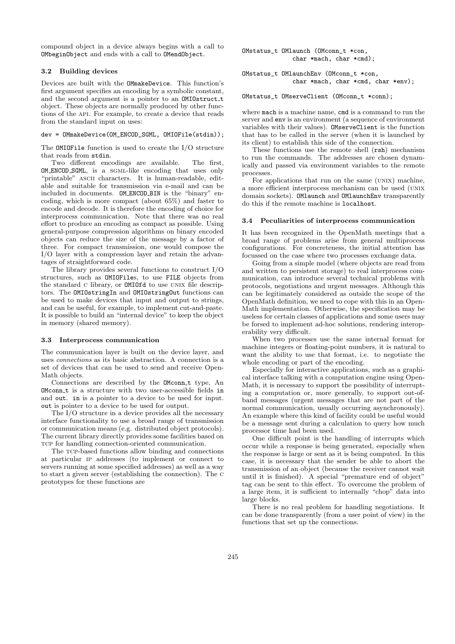compound object in a device always begins with a call to OMbeginObject and ends with a call to OMendObject.

## 3.2 Building devices

Devices are built with the OMmakeDevice. This function's first argument specifies an encoding by a symbolic constant, and the second argument is a pointer to an **OMIOstruct\_t** object. These objects are normally produced by other functions of the API. For example, to create a device that reads from the standard input on uses:

#### dev = OMmakeDevice(OM\_ENCOD\_SGML, OMIOFile(stdin));

The OMIOFile function is used to create the I/O structure that reads from stdin.

Two different encodings are available. The first, OM ENCOD SGML, is a sgml-like encoding that uses only "printable" ASCII characters. It is human-readable, editable and suitable for transmission via e-mail and can be included in documents. OM ENCOD BIN is the "binary" encoding, which is more compact (about 65%) and faster to encode and decode. It is therefore the encoding of choice for interprocess communication. Note that there was no real effort to produce an encoding as compact as possible. Using general-purpose compression algorithms on binary encoded objects can reduce the size of the message by a factor of three. For compact transmission, one would compose the I/O layer with a compression layer and retain the advantages of straightforward code.

The library provides several functions to construct I/O structures, such as OMIOFiles, to use FILE objects from the standard C library, or **OMIOfd** to use UNIX file descriptors. The OMIOstringIn and OMIOstringOut functions can be used to make devices that input and output to strings, and can be useful, for example, to implement cut-and-paste. It is possible to build an "internal device" to keep the object in memory (shared memory).

#### 3.3 Interprocess communication

The communication layer is built on the device layer, and uses connections as its basic abstraction. A connection is a set of devices that can be used to send and receive Open-Math objects.

Connections are described by the OMconn\_t type, An OMconn t is a structure with two user-accessible fields in and out. in is a pointer to a device to be used for input. out is pointer to a device to be used for output.

The I/O structure in a device provides all the necessary interface functionality to use a broad range of transmission or communication means (e.g. distributed object protocols). The current library directly provides some facilities based on TCP for handling connection-oriented communication.

The TCP-based functions allow binding and connections at particular ip addresses (to implement or connect to servers running at some specified addresses) as well as a way to start a given server (establishing the connection). The c prototypes for these functions are

OMstatus\_t OMlaunch (OMconn\_t \*con, char \*mach, char \*cmd);

OMstatus t OMlaunchEnv (OMconn t \*con, char \*mach, char \*cmd, char \*env);

OMstatus\_t OMserveClient (OMconn\_t \*conn);

where mach is a machine name, cmd is a command to run the server and env is an environment (a sequence of environment variables with their values). OMserveClient is the function that has to be called in the server (when it is launched by its client) to establish this side of the connection.

These functions use the remote shell (rsh) mechanism to run the commands. The addresses are chosen dynamically and passed via environment variables to the remote processes.

For applications that run on the same (UNIX) machine, a more efficient interprocess mechanism can be used (unix domain sockets). OMlaunch and OMlaunchEnv transparently do this if the remote machine is localhost.

## 3.4 Peculiarities of interprocess communication

It has been recognized in the OpenMath meetings that a broad range of problems arise from general multiprocess configurations. For concreteness, the initial attention has focussed on the case where two processes exchange data.

Going from a simple model (where objects are read from and written to persistent storage) to real interprocess communication, can introduce several technical problems with protocols, negotiations and urgent messages. Although this can be legitimately considered as outside the scope of the OpenMath definition, we need to cope with this in an Open-Math implementation. Otherwise, the specification may be useless for certain classes of applications and some users may be forsed to implement ad-hoc solutions, rendering interoperability very difficult.

When two processes use the same internal format for machine integers or floating-point numbers, it is natural to want the ability to use that format, i.e. to negotiate the whole encoding or part of the encoding.

Especially for interactive applications, such as a graphical interface talking with a computation engine using Open-Math, it is necessary to support the possibility of interrupting a computation or, more generally, to support out-ofband messages (urgent messages that are not part of the normal communication, usually occurring asynchronously). An example where this kind of facility could be useful would be a message sent during a calculation to query how much processor time had been used.

One difficult point is the handling of interrupts which occur while a response is being generated, especially when the response is large or sent as it is being computed. In this case, it is necessary that the sender be able to abort the transmission of an object (because the receiver cannot wait until it is finished). A special "premature end of object" tag can be sent to this effect. To overcome the problem of a large item, it is sufficient to internally "chop" data into large blocks.

There is no real problem for handling negotiations. It can be done transparently (from a user point of view) in the functions that set up the connections.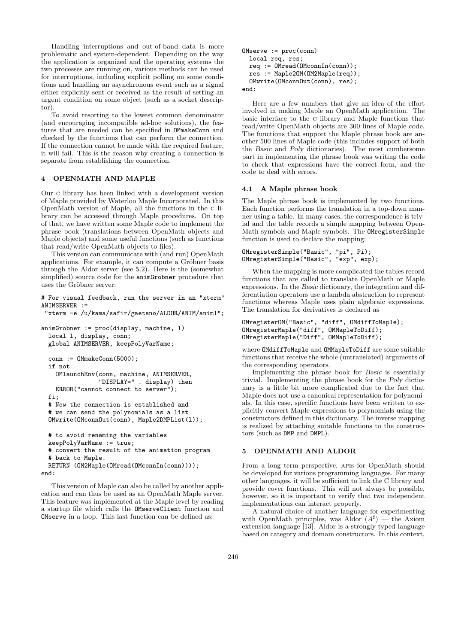Handling interruptions and out-of-band data is more problematic and system-dependent. Depending on the way the application is organized and the operating systems the two processes are running on, various methods can be used for interruptions, including explicit polling on some conditions and handling an asynchronous event such as a signal either explicitly sent or received as the result of setting an urgent condition on some object (such as a socket descriptor).

To avoid resorting to the lowest common denominator (and encouraging incompatible ad-hoc solutions), the features that are needed can be specified in OMmakeConn and checked by the functions that can perform the connection. If the connection cannot be made with the required feature, it will fail. This is the reason why creating a connection is separate from establishing the connection.

## 4 OPENMATH AND MAPLE

Our c library has been linked with a development version of Maple provided by Waterloo Maple Incorporated. In this OpenMath version of Maple, all the functions in the c library can be accessed through Maple procedures. On top of that, we have written some Maple code to implement the phrase book (translations between OpenMath objects and Maple objects) and some useful functions (such as functions that read/write OpenMath objects to files).

This version can communicate with (and run) OpenMath applications. For example, it can compute a Gröbner basis through the Aldor server (see 5.2). Here is the (somewhat simplified) source code for the animGrobner procedure that uses the Gröbner server:

# For visual feedback, run the server in an "xterm" ANIMSERVER :=

"xterm -e /u/kama/safir/gaetano/ALDOR/ANIM/anim1";

```
animGrobner := proc(display, machine, l)
 local l, display, conn;
 global ANIMSERVER, keepPolyVarName;
 conn : = 0MmakeConn(5000):if not
    OMlaunchEnv(conn, machine, ANIMSERVER,
                "DISPLAY=" . display) then
   ERROR("cannot connect to server");
 fi;
 # Now the connection is established and
  # we can send the polynomials as a list
 OMwrite(OMconnOut(conn), Maple2DMPList(l));
 # to avoid renaming the variables
 keepPolyVarName := true;
  # convert the result of the animation program
  # back to Maple.
 RETURN (OM2Maple(OMread(OMconnIn(conn))));
end:
```
This version of Maple can also be called by another application and can thus be used as an OpenMath Maple server. This feature was implemented at the Maple level by reading a startup file which calls the OMserveClient function and OMserve in a loop. This last function can be defined as:

```
OMserve := proc(conn)
  local req, res;
  req := OMread(OMconnIn(conn));
  res := Maple2OM(OM2Maple(req));
  OMwrite(OMconnOut(conn), res);
end:
```
Here are a few numbers that give an idea of the effort involved in making Maple an OpenMath application. The basic interface to the c library and Maple functions that read/write OpenMath objects are 300 lines of Maple code. The functions that support the Maple phrase book are another 500 lines of Maple code (this includes support of both the Basic and Poly dictionaries). The most cumbersome part in implementing the phrase book was writing the code to check that expressions have the correct form, and the code to deal with errors.

## 4.1 A Maple phrase book

The Maple phrase book is implemented by two functions. Each function performs the translation in a top-down manner using a table. In many cases, the correspondence is trivial and the table records a simple mapping between Open-Math symbols and Maple symbols. The OMregisterSimple function is used to declare the mapping:

```
OMregisterSimple("Basic", "pi", Pi);
OMregisterSimple("Basic", "exp", exp);
```
When the mapping is more complicated the tables record functions that are called to translate OpenMath or Maple expressions. In the Basic dictionary, the integration and differentiation operators use a lambda abstraction to represent functions whereas Maple uses plain algebraic expressions. The translation for derivatives is declared as

```
OMregisterOM("Basic", "diff", OMdiffToMaple);
OMregisterMaple("diff", OMMapleToDiff);
OMregisterMaple("Diff", OMMapleToDiff);
```
where OMdiffToMaple and OMMapleToDiff are some suitable functions that receive the whole (untranslated) arguments of the corresponding operators.

Implementing the phrase book for Basic is essentially trivial. Implementing the phrase book for the Poly dictionary is a little bit more complicated due to the fact that Maple does not use a canonical representation for polynomials. In this case, specific functions have been written to explicitly convert Maple expressions to polynomials using the constructors defined in this dictionary. The inverse mapping is realized by attaching suitable functions to the constructors (such as DMP and DMPL).

## 5 OPENMATH AND ALDOR

From a long term perspective, apis for OpenMath should be developed for various programming languages. For many other languages, it will be sufficient to link the C library and provide cover functions. This will not always be possible, however, so it is important to verify that two independent implementations can interact properly.

A natural choice of another language for experimenting with OpenMath principles, was Aldor  $(A^{\sharp})$  — the Axiom extension language [13]. Aldor is a strongly typed language based on category and domain constructors. In this context,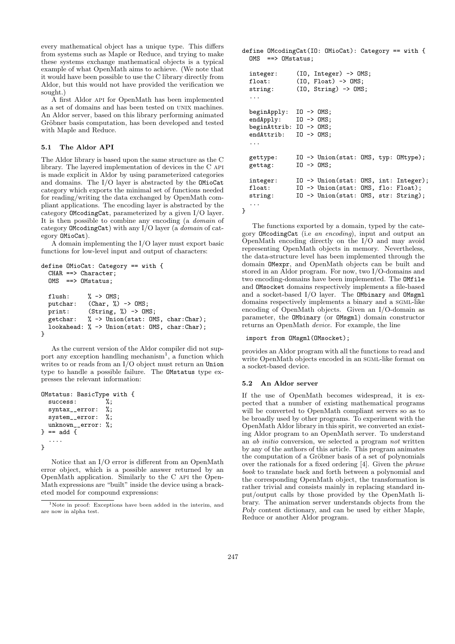every mathematical object has a unique type. This differs from systems such as Maple or Reduce, and trying to make these systems exchange mathematical objects is a typical example of what OpenMath aims to achieve. (We note that it would have been possible to use the C library directly from Aldor, but this would not have provided the verification we sought.)

A first Aldor api for OpenMath has been implemented as a set of domains and has been tested on unix machines. An Aldor server, based on this library performing animated Gröbner basis computation, has been developed and tested with Maple and Reduce.

## 5.1 The Aldor API

The Aldor library is based upon the same structure as the C library. The layered implementation of devices in the C api is made explicit in Aldor by using parameterized categories and domains. The I/O layer is abstracted by the OMioCat category which exports the minimal set of functions needed for reading/writing the data exchanged by OpenMath compliant applications. The encoding layer is abstracted by the category OMcodingCat, parameterized by a given I/O layer. It is then possible to combine any encoding (a domain of category OMcodingCat) with any I/O layer (a domain of category OMioCat).

A domain implementing the I/O layer must export basic functions for low-level input and output of characters:

```
define OMioCat: Category == with {
 CHAR ==> Character;
 OMS ==> OMstatus;
 flush: \% \rightarrow OMS;
 putchar: (Char, %) -> OMS;
 print: (Suring, %) -> OMS;getchar: % -> Union(stat: OMS, char:Char);
  lookahead: % -> Union(stat: OMS, char:Char);
}
```
As the current version of the Aldor compiler did not support any exception handling mechanism<sup>1</sup>, a function which writes to or reads from an I/O object must return an Union type to handle a possible failure. The OMstatus type expresses the relevant information:

```
OMstatus: BasicType with {<br>success: %;
  success: %;<br>syntax_error: %;
  syntax__error:
  system__error: %;
  unknown__error: %;
} = add {
  ....
}
```
Notice that an I/O error is different from an OpenMath error object, which is a possible answer returned by an OpenMath application. Similarly to the C api the Open-Math expressions are "built" inside the device using a bracketed model for compound expressions:

define OMcodingCat(IO: OMioCat): Category == with {  $OMS$  == $>$   $OMstatus$ :

```
integer: (IO, Integer) -> OMS;
  float: (IO. float) \rightarrow OMS:string: (IO, String) -> OMS;
  ...
  beginApply: IO -> OMS;
  endApply: I0 \rightarrow OMS;<br>beginAttrib: I0 \rightarrow OMS;
  beginAttrib:
  endAttrib: IO -> OMS;
  ...
  gettype: IO -> Union(stat: OMS, typ: OMtype);
  gettag: IO -> OMS;
  integer: IO -> Union(stat: OMS, int: Integer);
  float: IO -> Union(stat: OMS, flo: Float);
  string: IO -> Union(stat: OMS, str: String);
  ...
}
```
The functions exported by a domain, typed by the category OMcodingCat (i.e an encoding), input and output an OpenMath encoding directly on the I/O and may avoid representing OpenMath objects in memory. Nevertheless, the data-structure level has been implemented through the domain OMexpr, and OpenMath objects can be built and stored in an Aldor program. For now, two I/O-domains and two encoding-domains have been implemented. The OMfile and OMsocket domains respectively implements a file-based and a socket-based I/O layer. The OMbinary and OMsgml domains respectively implements a binary and a SGML-like encoding of OpenMath objects. Given an I/O-domain as parameter, the OMbinary (or OMsgml) domain constructor returns an OpenMath device. For example, the line

### import from OMsgml(OMsocket);

provides an Aldor program with all the functions to read and write OpenMath objects encoded in an SGML-like format on a socket-based device.

#### 5.2 An Aldor server

If the use of OpenMath becomes widespread, it is expected that a number of existing mathematical programs will be converted to OpenMath compliant servers so as to be broadly used by other programs. To experiment with the OpenMath Aldor library in this spirit, we converted an existing Aldor program to an OpenMath server. To understand an ab initio conversion, we selected a program not written by any of the authors of this article. This program animates the computation of a Gröbner basis of a set of polynomials over the rationals for a fixed ordering [4]. Given the phrase book to translate back and forth between a polynomial and the corresponding OpenMath object, the transformation is rather trivial and consists mainly in replacing standard input/output calls by those provided by the OpenMath library. The animation server understands objects from the Poly content dictionary, and can be used by either Maple, Reduce or another Aldor program.

<sup>&</sup>lt;sup>1</sup>Note in proof: Exceptions have been added in the interim, and are now in alpha test.